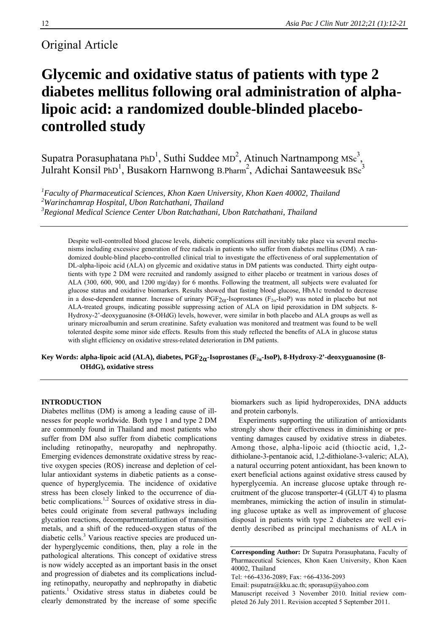# Original Article

# **Glycemic and oxidative status of patients with type 2 diabetes mellitus following oral administration of alphalipoic acid: a randomized double-blinded placebocontrolled study**

Supatra Porasuphatana PhD<sup>1</sup>, Suthi Suddee MD<sup>2</sup>, Atinuch Nartnampong MSc<sup>3</sup>, Julraht Konsil PhD<sup>1</sup>, Busakorn Harnwong B.Pharm<sup>2</sup>, Adichai Santaweesuk BSc<sup>3</sup>

*1 Faculty of Pharmaceutical Sciences, Khon Kaen University, Khon Kaen 40002, Thailand 2 Warinchamrap Hospital, Ubon Ratchathani, Thailand 3 Regional Medical Science Center Ubon Ratchathani, Ubon Ratchathani, Thailand* 

Despite well-controlled blood glucose levels, diabetic complications still inevitably take place via several mechanisms including excessive generation of free radicals in patients who suffer from diabetes mellitus (DM). A randomized double-blind placebo-controlled clinical trial to investigate the effectiveness of oral supplementation of DL-alpha-lipoic acid (ALA) on glycemic and oxidative status in DM patients was conducted. Thirty eight outpatients with type 2 DM were recruited and randomly assigned to either placebo or treatment in various doses of ALA (300, 600, 900, and 1200 mg/day) for 6 months. Following the treatment, all subjects were evaluated for glucose status and oxidative biomarkers. Results showed that fasting blood glucose, HbA1c trended to decrease in a dose-dependent manner. Increase of urinary  $PGF_{2\alpha}$ -Isoprostanes ( $F_{2\alpha}$ -IsoP) was noted in placebo but not ALA-treated groups, indicating possible suppressing action of ALA on lipid peroxidation in DM subjects. 8- Hydroxy-2'-deoxyguanosine (8-OHdG) levels, however, were similar in both placebo and ALA groups as well as urinary microalbumin and serum creatinine. Safety evaluation was monitored and treatment was found to be well tolerated despite some minor side effects. Results from this study reflected the benefits of ALA in glucose status with slight efficiency on oxidative stress-related deterioration in DM patients.

Key Words: alpha-lipoic acid (ALA), diabetes, PGF<sub>2 $\alpha$ </sub>-Isoprostanes (F<sub>2 $\alpha$ </sub>-IsoP), 8-Hydroxy-2'-deoxyguanosine (8-**OHdG), oxidative stress** 

#### **INTRODUCTION**

Diabetes mellitus (DM) is among a leading cause of illnesses for people worldwide. Both type 1 and type 2 DM are commonly found in Thailand and most patients who suffer from DM also suffer from diabetic complications including retinopathy, neuropathy and nephropathy. Emerging evidences demonstrate oxidative stress by reactive oxygen species (ROS) increase and depletion of cellular antioxidant systems in diabetic patients as a consequence of hyperglycemia. The incidence of oxidative stress has been closely linked to the occurrence of diabetic complications.1,2 Sources of oxidative stress in diabetes could originate from several pathways including glycation reactions, decompartmentatlization of transition metals, and a shift of the reduced-oxygen status of the diabetic cells.<sup>3</sup> Various reactive species are produced under hyperglycemic conditions, then, play a role in the pathological alterations. This concept of oxidative stress is now widely accepted as an important basis in the onset and progression of diabetes and its complications including retinopathy, neuropathy and nephropathy in diabetic patients.<sup>1</sup> Oxidative stress status in diabetes could be clearly demonstrated by the increase of some specific biomarkers such as lipid hydroperoxides, DNA adducts and protein carbonyls.

Experiments supporting the utilization of antioxidants strongly show their effectiveness in diminishing or preventing damages caused by oxidative stress in diabetes. Among those, alpha-lipoic acid (thioctic acid, 1,2 dithiolane-3-pentanoic acid, 1,2-dithiolane-3-valeric; ALA), a natural occurring potent antioxidant, has been known to exert beneficial actions against oxidative stress caused by hyperglycemia. An increase glucose uptake through recruitment of the glucose transporter-4 (GLUT 4) to plasma membranes, mimicking the action of insulin in stimulating glucose uptake as well as improvement of glucose disposal in patients with type 2 diabetes are well evidently described as principal mechanisms of ALA in

Email: psupatra@kku.ac.th; sporasup@yahoo.com Manuscript received 3 November 2010. Initial review completed 26 July 2011. Revision accepted 5 September 2011.

**Corresponding Author:** Dr Supatra Porasuphatana, Faculty of Pharmaceutical Sciences, Khon Kaen University, Khon Kaen 40002, Thailand

Tel: +66-4336-2089; Fax: +66-4336-2093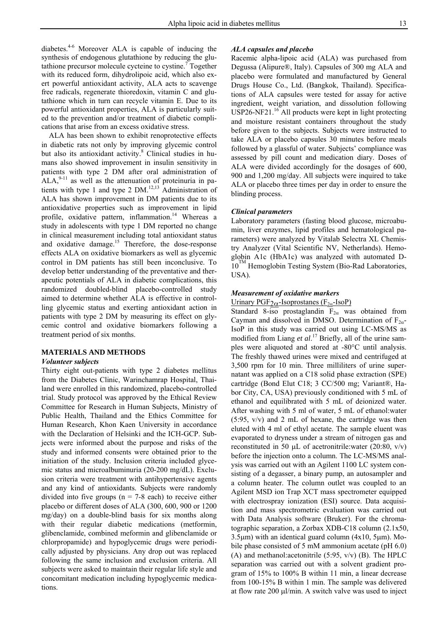diabetes.4-6 Moreover ALA is capable of inducing the synthesis of endogenous glutathione by reducing the glutathione precursor molecule cycteine to cystine.7 Together with its reduced form, dihydrolipoic acid, which also exert powerful antioxidant activity, ALA acts to scavenge free radicals, regenerate thioredoxin, vitamin C and glutathione which in turn can recycle vitamin E. Due to its powerful antioxidant properties, ALA is particularly suited to the prevention and/or treatment of diabetic complications that arise from an excess oxidative stress.

ALA has been shown to exhibit renoprotective effects in diabetic rats not only by improving glycemic control but also its antioxidant activity.<sup>8</sup> Clinical studies in humans also showed improvement in insulin sensitivity in patients with type 2 DM after oral administration of  $ALA<sub>2</sub><sup>9-11</sup>$  as well as the attenuation of proteinuria in patients with type 1 and type 2  $DM.<sup>12,13</sup>$  Administration of ALA has shown improvement in DM patients due to its antioxidative properties such as improvement in lipid profile, oxidative pattern, inflammation.<sup>14</sup> Whereas a study in adolescents with type 1 DM reported no change in clinical measurement including total antioxidant status and oxidative damage.<sup>15</sup> Therefore, the dose-response effects ALA on oxidative biomarkers as well as glycemic control in DM patients has still been inconclusive. To develop better understanding of the preventative and therapeutic potentials of ALA in diabetic complications, this randomized doubled-blind placebo-controlled study aimed to determine whether ALA is effective in controlling glycemic status and exerting antioxidant action in patients with type 2 DM by measuring its effect on glycemic control and oxidative biomarkers following a treatment period of six months.

#### **MATERIALS AND METHODS**

#### *Volunteer subjects*

Thirty eight out-patients with type 2 diabetes mellitus from the Diabetes Clinic, Warinchamrap Hospital, Thailand were enrolled in this randomized, placebo-controlled trial. Study protocol was approved by the Ethical Review Committee for Research in Human Subjects, Ministry of Public Health, Thailand and the Ethics Committee for Human Research, Khon Kaen University in accordance with the Declaration of Helsinki and the ICH-GCP. Subjects were informed about the purpose and risks of the study and informed consents were obtained prior to the initiation of the study. Inclusion criteria included glycemic status and microalbuminuria (20-200 mg/dL). Exclusion criteria were treatment with antihypertensive agents and any kind of antioxidants. Subjects were randomly divided into five groups ( $n = 7-8$  each) to receive either placebo or different doses of ALA (300, 600, 900 or 1200 mg/day) on a double-blind basis for six months along with their regular diabetic medications (metformin, glibenclamide, combined meformin and glibenclamide or chlorpropamide) and hypoglycemic drugs were periodically adjusted by physicians. Any drop out was replaced following the same inclusion and exclusion criteria. All subjects were asked to maintain their regular life style and concomitant medication including hypoglycemic medications.

#### *ALA capsules and placebo*

Racemic alpha-lipoic acid (ALA) was purchased from Degussa (Alipure®, Italy). Capsules of 300 mg ALA and placebo were formulated and manufactured by General Drugs House Co., Ltd. (Bangkok, Thailand). Specifications of ALA capsules were tested for assay for active ingredient, weight variation, and dissolution following USP26-NF21.<sup>16</sup> All products were kept in light protecting and moisture resistant containers throughout the study before given to the subjects. Subjects were instructed to take ALA or placebo capsules 30 minutes before meals followed by a glassful of water. Subjects' compliance was assessed by pill count and medication diary. Doses of ALA were divided accordingly for the dosages of 600, 900 and 1,200 mg/day. All subjects were inquired to take ALA or placebo three times per day in order to ensure the blinding process.

### *Clinical parameters*

Laboratory parameters (fasting blood glucose, microabumin, liver enzymes, lipid profiles and hematological parameters) were analyzed by Vitalab Selectra XL Chemistry Analyzer (Vital Scientific NV, Netherlands). Hemoglobin A1c (HbA1c) was analyzed with automated D- $10^{TM}$  Hemoglobin Testing System (Bio-Rad Laboratories, USA).

#### *Measurement of oxidative markers*

#### Urinary PGF<sub>2 $\alpha$ </sub>-Isoprostanes (F<sub>2 $\alpha$ </sub>-IsoP)

Standard 8-iso prostaglandin  $F_{2\alpha}$  was obtained from Cayman and dissolved in DMSO. Determination of  $F_{2\alpha}$ -IsoP in this study was carried out using LC-MS/MS as modified from Liang *et al*. <sup>17</sup> Briefly, all of the urine samples were aliquoted and stored at -80°C until analysis. The freshly thawed urines were mixed and centrifuged at 3,500 rpm for 10 min. Three milliliters of urine supernatant was applied on a C18 solid phase extraction (SPE) cartridge (Bond Elut C18; 3 CC/500 mg; Variant®, Habor City, CA, USA) previously conditioned with 5 mL of ethanol and equilibrated with 5 mL of deionized water. After washing with 5 ml of water, 5 mL of ethanol:water (5:95, v/v) and 2 mL of hexane, the cartridge was then eluted with 4 ml of ethyl acetate. The sample eluent was evaporated to dryness under a stream of nitrogen gas and reconstituted in 50  $\mu$ L of acetronitrile:water (20:80, v/v) before the injection onto a column. The LC-MS/MS analysis was carried out with an Agilent 1100 LC system consisting of a degasser, a binary pump, an autosampler and a column heater. The column outlet was coupled to an Agilent MSD ion Trap XCT mass spectrometer equipped with electrospray ionization (ESI) source. Data acquisition and mass spectrometric evaluation was carried out with Data Analysis software (Bruker). For the chromatographic separation, a Zorbax XDB-C18 column (2.1x50,  $3.5\mu$ m) with an identical guard column ( $4x10$ ,  $5\mu$ m). Mobile phase consisted of 5 mM ammonium acetate (pH 6.0) (A) and methanol:acetonitrile (5:95, v/v) (B). The HPLC separation was carried out with a solvent gradient program of 15% to 100% B within 11 min, a linear decrease from 100-15% B within 1 min. The sample was delivered at flow rate  $200 \mu l/min$ . A switch valve was used to inject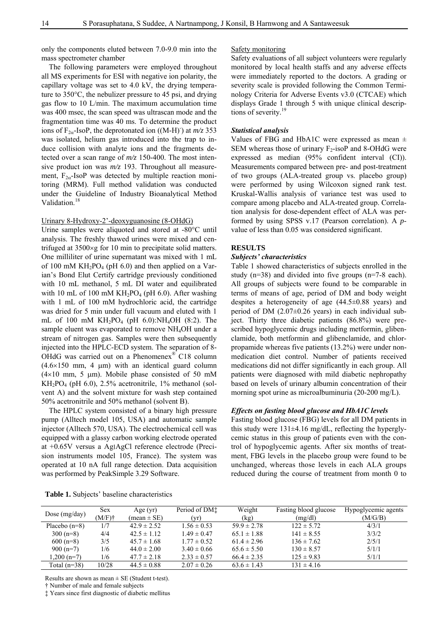only the components eluted between 7.0-9.0 min into the mass spectrometer chamber

The following parameters were employed throughout all MS experiments for ESI with negative ion polarity, the capillary voltage was set to 4.0 kV, the drying temperature to 350°C, the nebulizer pressure to 45 psi, and drying gas flow to 10 L/min. The maximum accumulation time was 400 msec, the scan speed was ultrascan mode and the fragmentation time was 40 ms. To determine the product ions of  $F_{2\alpha}$ -IsoP, the deprotonated ion ((M-H)<sup>-</sup>) at  $m/z$  353 was isolated, helium gas introduced into the trap to induce collision with analyte ions and the fragments detected over a scan range of *m/z* 150-400. The most intensive product ion was *m/z* 193. Throughout all measurement,  $F_{2\alpha}$ -IsoP was detected by multiple reaction monitoring (MRM). Full method validation was conducted under the Guideline of Industry Bioanalytical Method Validation.<sup>18</sup>

## Urinary 8-Hydroxy-2'-deoxyguanosine (8-OHdG)

Urine samples were aliquoted and stored at -80°C until analysis. The freshly thawed urines were mixed and centrifuged at  $3500 \times g$  for 10 min to precipitate solid matters. One milliliter of urine supernatant was mixed with 1 mL of 100 mM  $KH_2PO_4$  (pH 6.0) and then applied on a Varian's Bond Elut Certify cartridge previously conditioned with 10 mL methanol, 5 mL DI water and equilibrated with 10 mL of 100 mM  $KH_2PO_4$  (pH 6.0). After washing with 1 mL of 100 mM hydrochloric acid, the cartridge was dried for 5 min under full vacuum and eluted with 1 mL of 100 mM  $KH_2PO_4$  (pH 6.0):NH<sub>4</sub>OH (8:2). The sample eluent was evaporated to remove NH4OH under a stream of nitrogen gas. Samples were then subsequently injected into the HPLC-ECD system. The separation of 8- OHdG was carried out on a Phenomenex® C18 column  $(4.6\times150$  mm, 4  $\mu$ m) with an identical guard column ( $4\times10$  mm, 5 µm). Mobile phase consisted of 50 mM  $KH<sub>2</sub>PO<sub>4</sub>$  (pH 6.0), 2.5% acetronitrile, 1% methanol (solvent A) and the solvent mixture for wash step contained 50% acetronitrile and 50% methanol (solvent B).

The HPLC system consisted of a binary high pressure pump (Alltech model 105, USA) and automatic sample injector (Alltech 570, USA). The electrochemical cell was equipped with a glassy carbon working electrode operated at +0.65V versus a Ag׀AgCl reference electrode (Precision instruments model 105, France). The system was operated at 10 nA full range detection. Data acquisition was performed by PeakSimple 3.29 Software.

#### Safety monitoring

Safety evaluations of all subject volunteers were regularly monitored by local health staffs and any adverse effects were immediately reported to the doctors. A grading or severity scale is provided following the Common Terminology Criteria for Adverse Events v3.0 (CTCAE) which displays Grade 1 through 5 with unique clinical descriptions of severity.<sup>19</sup>

#### *Statistical analysis*

Values of FBG and HbA1C were expressed as mean  $\pm$ SEM whereas those of urinary  $F_2$ -isoP and 8-OHdG were expressed as median (95% confident interval (CI)). Measurements compared between pre- and post-treatment of two groups (ALA-treated group vs. placebo group) were performed by using Wilcoxon signed rank test. Kruskal-Wallis analysis of variance test was used to compare among placebo and ALA-treated group. Correlation analysis for dose-dependent effect of ALA was performed by using SPSS v.17 (Pearson correlation). A *p*value of less than 0.05 was considered significant.

## **RESULTS**

#### *Subjects' characteristics*

Table 1 showed characteristics of subjects enrolled in the study (n=38) and divided into five groups (n=7-8 each). All groups of subjects were found to be comparable in terms of means of age, period of DM and body weight despites a heterogeneity of age (44.5±0.88 years) and period of DM  $(2.07\pm0.26$  years) in each individual subject. Thirty three diabetic patients (86.8%) were prescribed hypoglycemic drugs including metformin, glibenclamide, both metformin and glibenclamide, and chlorpropamide whereas five patients (13.2%) were under nonmedication diet control. Number of patients received medications did not differ significantly in each group. All patients were diagnosed with mild diabetic nephropathy based on levels of urinary albumin concentration of their morning spot urine as microalbuminuria (20-200 mg/L).

#### *Effects on fasting blood glucose and HbA1C levels*

Fasting blood glucose (FBG) levels for all DM patients in this study were 131±4.16 mg/dL, reflecting the hyperglycemic status in this group of patients even with the control of hypoglycemic agents. After six months of treatment, FBG levels in the placebo group were found to be unchanged, whereas those levels in each ALA groups reduced during the course of treatment from month 0 to

| Table 1. Subjects' baseline characteristics |  |  |  |  |
|---------------------------------------------|--|--|--|--|
|---------------------------------------------|--|--|--|--|

| Dose $(mg/day)$ | <b>Sex</b><br>$(M/F)$ † | Age $(yr)$<br>$mean \pm SE$ | Period of DM <sup>*</sup><br>(yr) | Weight<br>(kg)  | Fasting blood glucose<br>(mg/dl) | Hypoglycemic agents<br>(M/G/B) |
|-----------------|-------------------------|-----------------------------|-----------------------------------|-----------------|----------------------------------|--------------------------------|
| Placebo $(n=8)$ | 1/7                     | $42.9 \pm 2.52$             | $1.56 \pm 0.53$                   | $59.9 \pm 2.78$ | $122 \pm 5.72$                   | 4/3/1                          |
| $300(n=8)$      | 4/4                     | $42.5 \pm 1.12$             | $1.49 \pm 0.47$                   | $65.1 \pm 1.88$ | $141 \pm 8.55$                   | 3/3/2                          |
| $600(n=8)$      | 3/5                     | $45.7 \pm 1.68$             | $1.77 \pm 0.52$                   | $61.4 \pm 2.96$ | $136 \pm 7.62$                   | 2/5/1                          |
| $900(n=7)$      | 1/6                     | $44.0 \pm 2.00$             | $3.40 \pm 0.66$                   | $65.6 \pm 5.50$ | $130 \pm 8.57$                   | 5/1/1                          |
| $1.200(n=7)$    | 1/6                     | $47.7 \pm 2.18$             | $2.33 \pm 0.57$                   | $66.4 \pm 2.35$ | $125 \pm 9.83$                   | 5/1/1                          |
| Total $(n=38)$  | 10/28                   | $44.5 \pm 0.88$             | $2.07 \pm 0.26$                   | $63.6 \pm 1.43$ | $131 \pm 4.16$                   |                                |

Results are shown as mean  $\pm$  SE (Student t-test).

† Number of male and female subjects

‡ Years since first diagnostic of diabetic mellitus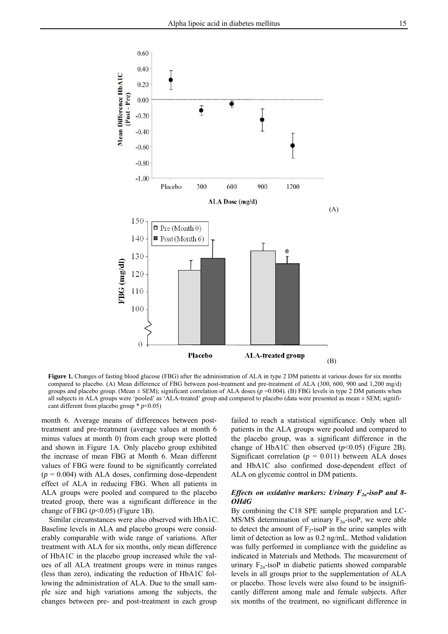

**Figure 1.** Changes of fasting blood glucose (FBG) after the administration of ALA in type 2 DM patients at various doses for six months compared to placebo. (A) Mean difference of FBG between post-treatment and pre-treatment of ALA (300, 600, 900 and 1,200 mg/d) groups and placebo group. (Mean  $\pm$  SEM); significant correlation of ALA doses ( $p = 0.004$ ). (B) FBG levels in type 2 DM patients when all subjects in ALA groups were 'pooled' as 'ALA-treated' group and compared to placebo (data were presented as mean ± SEM; significant different from placebo group \* *p*<0.05)

month 6. Average means of differences between posttreatment and pre-treatment (average values at month 6 minus values at month 0) from each group were plotted and shown in Figure 1A. Only placebo group exhibited the increase of mean FBG at Month 6. Mean different values of FBG were found to be significantly correlated  $(p = 0.004)$  with ALA doses, confirming dose-dependent effect of ALA in reducing FBG. When all patients in ALA groups were pooled and compared to the placebo treated group, there was a significant difference in the change of FBG  $(p<0.05)$  (Figure 1B).

Similar circumstances were also observed with HbA1C. Baseline levels in ALA and placebo groups were considerably comparable with wide range of variations. After treatment with ALA for six months, only mean difference of HbA1C in the placebo group increased while the values of all ALA treatment groups were in minus ranges (less than zero), indicating the reduction of HbA1C following the administration of ALA. Due to the small sample size and high variations among the subjects, the changes between pre- and post-treatment in each group

failed to reach a statistical significance. Only when all patients in the ALA groups were pooled and compared to the placebo group, was a significant difference in the change of HbA1C then observed  $(p<0.05)$  (Figure 2B). Significant correlation ( $p = 0.011$ ) between ALA doses and HbA1C also confirmed dose-dependent effect of ALA on glycemic control in DM patients.

## *Effects on oxidative markers: Urinary F<sub>2<i>α*</sub>-isoP and 8-*OHdG*

By combining the C18 SPE sample preparation and LC-MS/MS determination of urinary  $F_{2\alpha}$ -isoP, we were able to detect the amount of  $F_2$ -isoP in the urine samples with limit of detection as low as 0.2 ng/mL. Method validation was fully performed in compliance with the guideline as indicated in Materials and Methods. The measurement of urinary  $F_{2\alpha}$ -isoP in diabetic patients showed comparable levels in all groups prior to the supplementation of ALA or placebo. Those levels were also found to be insignificantly different among male and female subjects. After six months of the treatment, no significant difference in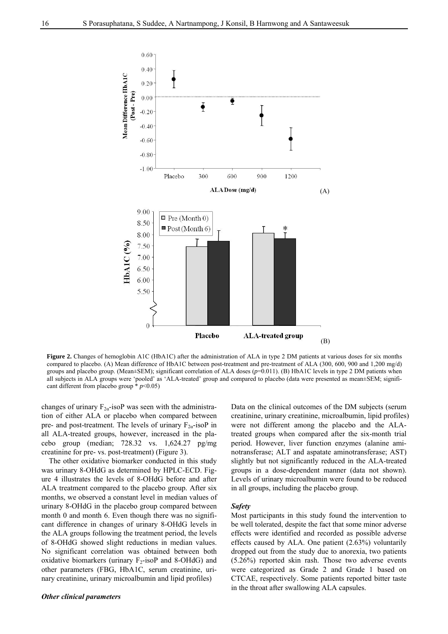

**Figure 2.** Changes of hemoglobin A1C (HbA1C) after the administration of ALA in type 2 DM patients at various doses for six months compared to placebo. (A) Mean difference of HbA1C between post-treatment and pre-treatment of ALA (300, 600, 900 and 1,200 mg/d) groups and placebo group. (Mean±SEM); significant correlation of ALA doses ( $p=0.011$ ). (B) HbA1C levels in type 2 DM patients when all subjects in ALA groups were 'pooled' as 'ALA-treated' group and compared to placebo (data were presented as mean±SEM; significant different from placebo group  $*$   $p$ <0.05)

changes of urinary  $F_{2\alpha}$ -isoP was seen with the administration of either ALA or placebo when compared between pre- and post-treatment. The levels of urinary  $F_{2\alpha}$ -isoP in all ALA-treated groups, however, increased in the placebo group (median; 728.32 vs. 1,624.27 pg/mg creatinine for pre- vs. post-treatment) (Figure 3).

The other oxidative biomarker conducted in this study was urinary 8-OHdG as determined by HPLC-ECD. Figure 4 illustrates the levels of 8-OHdG before and after ALA treatment compared to the placebo group. After six months, we observed a constant level in median values of urinary 8-OHdG in the placebo group compared between month 0 and month 6. Even though there was no significant difference in changes of urinary 8-OHdG levels in the ALA groups following the treatment period, the levels of 8-OHdG showed slight reductions in median values. No significant correlation was obtained between both oxidative biomarkers (urinary  $F_2$ -isoP and 8-OHdG) and other parameters (FBG, HbA1C, serum creatinine, urinary creatinine, urinary microalbumin and lipid profiles)

## *Other clinical parameters*

Data on the clinical outcomes of the DM subjects (serum creatinine, urinary creatinine, microalbumin, lipid profiles) were not different among the placebo and the ALAtreated groups when compared after the six-month trial period. However, liver function enzymes (alanine aminotransferase; ALT and aspatate aminotransferase; AST) slightly but not significantly reduced in the ALA-treated groups in a dose-dependent manner (data not shown). Levels of urinary microalbumin were found to be reduced in all groups, including the placebo group.

#### *Safety*

Most participants in this study found the intervention to be well tolerated, despite the fact that some minor adverse effects were identified and recorded as possible adverse effects caused by ALA. One patient (2.63%) voluntarily dropped out from the study due to anorexia, two patients (5.26%) reported skin rash. Those two adverse events were categorized as Grade 2 and Grade 1 based on CTCAE, respectively. Some patients reported bitter taste in the throat after swallowing ALA capsules.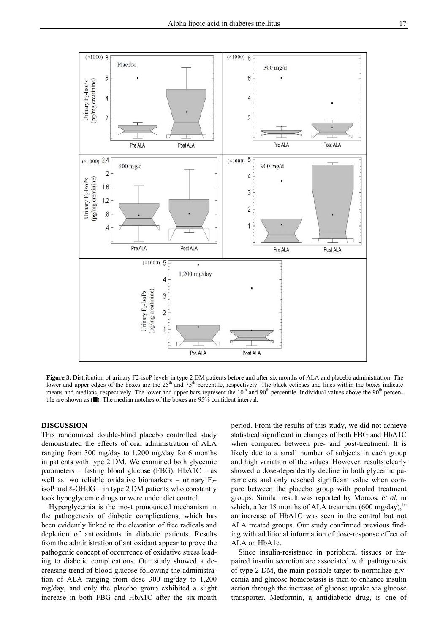

**Figure 3.** Distribution of urinary F2-isoP levels in type 2 DM patients before and after six months of ALA and placebo administration. The lower and upper edges of the boxes are the  $25<sup>th</sup>$  and  $75<sup>th</sup>$  percentile, respectively. The black eclipses and lines within the boxes indicate means and medians, respectively. The lower and upper bars represent the 10<sup>th</sup> and 90<sup>th</sup> percentile. Individual values above the 90<sup>th</sup> percentile are shown as  $(\blacksquare)$ . The median notches of the boxes are 95% confident interval.

## **DISCUSSION**

This randomized double-blind placebo controlled study demonstrated the effects of oral administration of ALA ranging from 300 mg/day to 1,200 mg/day for 6 months in patients with type 2 DM. We examined both glycemic parameters – fasting blood glucose (FBG),  $HbA1C - as$ well as two reliable oxidative biomarkers – urinary  $F_2$ isoP and 8-OHdG – in type 2 DM patients who constantly took hypoglycemic drugs or were under diet control.

Hyperglycemia is the most pronounced mechanism in the pathogenesis of diabetic complications, which has been evidently linked to the elevation of free radicals and depletion of antioxidants in diabetic patients. Results from the administration of antioxidant appear to prove the pathogenic concept of occurrence of oxidative stress leading to diabetic complications. Our study showed a decreasing trend of blood glucose following the administration of ALA ranging from dose 300 mg/day to 1,200 mg/day, and only the placebo group exhibited a slight increase in both FBG and HbA1C after the six-month

period. From the results of this study, we did not achieve statistical significant in changes of both FBG and HbA1C when compared between pre- and post-treatment. It is likely due to a small number of subjects in each group and high variation of the values. However, results clearly showed a dose-dependently decline in both glycemic parameters and only reached significant value when compare between the placebo group with pooled treatment groups. Similar result was reported by Morcos, *et al*, in which, after 18 months of ALA treatment (600 mg/day),  $16$ an increase of HbA1C was seen in the control but not ALA treated groups. Our study confirmed previous finding with additional information of dose-response effect of ALA on HbA1c.

Since insulin-resistance in peripheral tissues or impaired insulin secretion are associated with pathogenesis of type 2 DM, the main possible target to normalize glycemia and glucose homeostasis is then to enhance insulin action through the increase of glucose uptake via glucose transporter. Metformin, a antidiabetic drug, is one of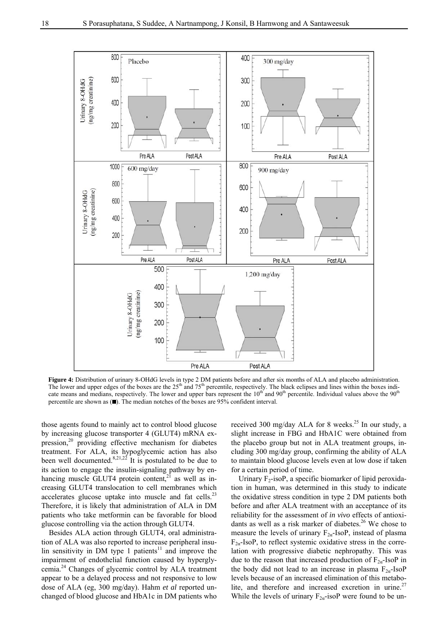

Figure 4: Distribution of urinary 8-OHdG levels in type 2 DM patients before and after six months of ALA and placebo administration. The lower and upper edges of the boxes are the 25<sup>th</sup> and 75<sup>th</sup> percentile, respectively. The black eclipses and lines within the boxes indicate means and medians, respectively. The lower and upper bars represent the  $10<sup>th</sup>$  and  $90<sup>th</sup>$  percentile. Individual values above the  $90<sup>th</sup>$ percentile are shown as  $(\blacksquare)$ . The median notches of the boxes are 95% confident interval.

those agents found to mainly act to control blood glucose by increasing glucose transporter 4 (GLUT4) mRNA expression,<sup>20</sup> providing effective mechanism for diabetes treatment. For ALA, its hypoglycemic action has also been well documented.<sup>8,21,22</sup> It is postulated to be due to its action to engage the insulin-signaling pathway by enhancing muscle GLUT4 protein content, $2^{\overline{1}}$  as well as increasing GLUT4 translocation to cell membranes which accelerates glucose uptake into muscle and fat cells.<sup>23</sup> Therefore, it is likely that administration of ALA in DM patients who take metformin can be favorable for blood glucose controlling via the action through GLUT4.

Besides ALA action through GLUT4, oral administration of ALA was also reported to increase peripheral insulin sensitivity in DM type 1 patients<sup>11</sup> and improve the impairment of endothelial function caused by hyperglycemia.24 Changes of glycemic control by ALA treatment appear to be a delayed process and not responsive to low dose of ALA (eg, 300 mg/day). Hahm *et al* reported unchanged of blood glucose and HbA1c in DM patients who

received 300 mg/day ALA for 8 weeks.<sup>25</sup> In our study, a slight increase in FBG and HbA1C were obtained from the placebo group but not in ALA treatment groups, including 300 mg/day group, confirming the ability of ALA to maintain blood glucose levels even at low dose if taken for a certain period of time.

Urinary  $F_2$ -isoP, a specific biomarker of lipid peroxidation in human, was determined in this study to indicate the oxidative stress condition in type 2 DM patients both before and after ALA treatment with an acceptance of its reliability for the assessment of *in vivo* effects of antioxidants as well as a risk marker of diabetes.<sup>26</sup> We chose to measure the levels of urinary  $F_{2\alpha}$ -IsoP, instead of plasma  $F_{2a}$ -IsoP, to reflect systemic oxidative stress in the correlation with progressive diabetic nephropathy. This was due to the reason that increased production of  $F_{2a}$ -IsoP in the body did not lead to an increase in plasma  $F_{2\alpha}$ -IsoP levels because of an increased elimination of this metabolite, and therefore and increased excretion in urine.<sup>27</sup> While the levels of urinary  $F_{2\alpha}$ -isoP were found to be un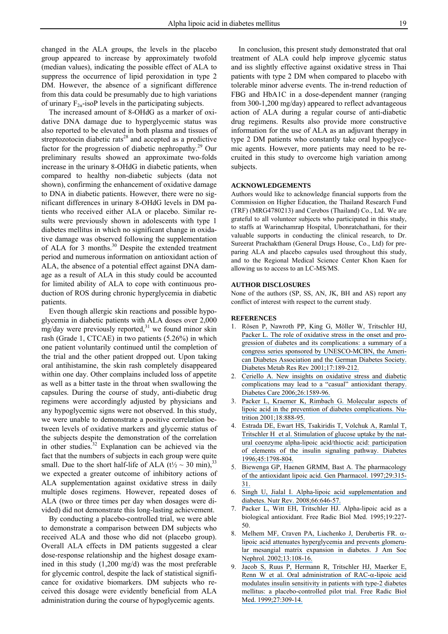changed in the ALA groups, the levels in the placebo group appeared to increase by approximately twofold (median values), indicating the possible effect of ALA to suppress the occurrence of lipid peroxidation in type 2 DM. However, the absence of a significant difference from this data could be presumably due to high variations of urinary  $F_{2\alpha}$ -isoP levels in the participating subjects.

The increased amount of 8-OHdG as a marker of oxidative DNA damage due to hyperglycemic status was also reported to be elevated in both plasma and tissues of streptozotocin diabetic  $\text{rats}^{28}$  and accepted as a predictive factor for the progression of diabetic nephropathy.<sup>29</sup> Our preliminary results showed an approximate two-folds increase in the urinary 8-OHdG in diabetic patients, when compared to healthy non-diabetic subjects (data not shown), confirming the enhancement of oxidative damage to DNA in diabetic patients. However, there were no significant differences in urinary 8-OHdG levels in DM patients who received either ALA or placebo. Similar results were previously shown in adolescents with type 1 diabetes mellitus in which no significant change in oxidative damage was observed following the supplementation of ALA for 3 months.<sup>30</sup> Despite the extended treatment period and numerous information on antioxidant action of ALA, the absence of a potential effect against DNA damage as a result of ALA in this study could be accounted for limited ability of ALA to cope with continuous production of ROS during chronic hyperglycemia in diabetic patients.

Even though allergic skin reactions and possible hypoglycemia in diabetic patients with ALA doses over 2,000  $mg/day$  were previously reported,<sup>31</sup> we found minor skin rash (Grade 1, CTCAE) in two patients (5.26%) in which one patient voluntarily continued until the completion of the trial and the other patient dropped out. Upon taking oral antihistamine, the skin rash completely disappeared within one day. Other complains included loss of appetite as well as a bitter taste in the throat when swallowing the capsules. During the course of study, anti-diabetic drug regimens were accordingly adjusted by physicians and any hypoglycemic signs were not observed. In this study, we were unable to demonstrate a positive correlation between levels of oxidative markers and glycemic status of the subjects despite the demonstration of the correlation in other studies. $32$  Explanation can be achieved via the fact that the numbers of subjects in each group were quite small. Due to the short half-life of ALA ( $t\frac{1}{2} \sim 30$  min),  $^{33}$ we expected a greater outcome of inhibitory actions of ALA supplementation against oxidative stress in daily multiple doses regimens. However, repeated doses of ALA (two or three times per day when dosages were divided) did not demonstrate this long-lasting achievement.

By conducting a placebo-controlled trial, we were able to demonstrate a comparison between DM subjects who received ALA and those who did not (placebo group). Overall ALA effects in DM patients suggested a clear dose-response relationship and the highest dosage examined in this study (1,200 mg/d) was the most preferable for glycemic control, despite the lack of statistical significance for oxidative biomarkers. DM subjects who received this dosage were evidently beneficial from ALA administration during the course of hypoglycemic agents.

In conclusion, this present study demonstrated that oral treatment of ALA could help improve glycemic status and iss slightly effective against oxidative stress in Thai patients with type 2 DM when compared to placebo with tolerable minor adverse events. The in-trend reduction of FBG and HbA1C in a dose-dependent manner (ranging from 300-1,200 mg/day) appeared to reflect advantageous action of ALA during a regular course of anti-diabetic drug regimens. Results also provide more constructive information for the use of ALA as an adjuvant therapy in type 2 DM patients who constantly take oral hypoglycemic agents. However, more patients may need to be recruited in this study to overcome high variation among subjects.

#### **ACKNOWLEDGEMENTS**

Authors would like to acknowledge financial supports from the Commission on Higher Education, the Thailand Research Fund (TRF) (MRG4780213) and Cerebos (Thailand) Co., Ltd. We are grateful to all volunteer subjects who participated in this study, to staffs at Warinchamrap Hospital, Ubonratchathani, for their valuable supports in conducting the clinical research, to Dr. Sureerat Prachaktham (General Drugs House, Co., Ltd) for preparing ALA and placebo capsules used throughout this study, and to the Regional Medical Science Center Khon Kaen for allowing us to access to an LC-MS/MS.

#### **AUTHOR DISCLOSURES**

None of the authors (SP, SS, AN, JK, BH and AS) report any conflict of interest with respect to the current study.

#### **REFERENCES**

- 1. [Rösen P, Nawroth PP, King G, Möller W, Tritschler HJ,](https://www.researchgate.net/publication/11916760_The_role_of_oxidative_stress_in_the_onset_and_progression_of_diabetes_and_its_complications_a_summary_of_a_Congress_Series_sponsored_by_UNESCO-MCBN_the_American_Diabetes_Association_and_the_German_Dia?el=1_x_8&enrichId=rgreq-b9e146b9-b45c-45b7-9778-77e0fcb910e2&enrichSource=Y292ZXJQYWdlOzIyMTg3MDUyODtBUzoyMzg5NDA4NTA0ODcyOTdAMTQzMzk3OTM0Njc5OA==) [Packer L. The role of oxidative stress in the onset and pro](https://www.researchgate.net/publication/11916760_The_role_of_oxidative_stress_in_the_onset_and_progression_of_diabetes_and_its_complications_a_summary_of_a_Congress_Series_sponsored_by_UNESCO-MCBN_the_American_Diabetes_Association_and_the_German_Dia?el=1_x_8&enrichId=rgreq-b9e146b9-b45c-45b7-9778-77e0fcb910e2&enrichSource=Y292ZXJQYWdlOzIyMTg3MDUyODtBUzoyMzg5NDA4NTA0ODcyOTdAMTQzMzk3OTM0Njc5OA==)[gression of diabetes and its complications: a summary of a](https://www.researchgate.net/publication/11916760_The_role_of_oxidative_stress_in_the_onset_and_progression_of_diabetes_and_its_complications_a_summary_of_a_Congress_Series_sponsored_by_UNESCO-MCBN_the_American_Diabetes_Association_and_the_German_Dia?el=1_x_8&enrichId=rgreq-b9e146b9-b45c-45b7-9778-77e0fcb910e2&enrichSource=Y292ZXJQYWdlOzIyMTg3MDUyODtBUzoyMzg5NDA4NTA0ODcyOTdAMTQzMzk3OTM0Njc5OA==) [congress series sponsored by UNESCO-MCBN, the Ameri](https://www.researchgate.net/publication/11916760_The_role_of_oxidative_stress_in_the_onset_and_progression_of_diabetes_and_its_complications_a_summary_of_a_Congress_Series_sponsored_by_UNESCO-MCBN_the_American_Diabetes_Association_and_the_German_Dia?el=1_x_8&enrichId=rgreq-b9e146b9-b45c-45b7-9778-77e0fcb910e2&enrichSource=Y292ZXJQYWdlOzIyMTg3MDUyODtBUzoyMzg5NDA4NTA0ODcyOTdAMTQzMzk3OTM0Njc5OA==)[can Diabetes Association and the German Diabetes Society.](https://www.researchgate.net/publication/11916760_The_role_of_oxidative_stress_in_the_onset_and_progression_of_diabetes_and_its_complications_a_summary_of_a_Congress_Series_sponsored_by_UNESCO-MCBN_the_American_Diabetes_Association_and_the_German_Dia?el=1_x_8&enrichId=rgreq-b9e146b9-b45c-45b7-9778-77e0fcb910e2&enrichSource=Y292ZXJQYWdlOzIyMTg3MDUyODtBUzoyMzg5NDA4NTA0ODcyOTdAMTQzMzk3OTM0Njc5OA==)  [Diabetes Metab Res Rev 2001;17:189-212.](https://www.researchgate.net/publication/11916760_The_role_of_oxidative_stress_in_the_onset_and_progression_of_diabetes_and_its_complications_a_summary_of_a_Congress_Series_sponsored_by_UNESCO-MCBN_the_American_Diabetes_Association_and_the_German_Dia?el=1_x_8&enrichId=rgreq-b9e146b9-b45c-45b7-9778-77e0fcb910e2&enrichSource=Y292ZXJQYWdlOzIyMTg3MDUyODtBUzoyMzg5NDA4NTA0ODcyOTdAMTQzMzk3OTM0Njc5OA==)
- 2. [Ceriello A. New insights on oxidative stress and diabetic](https://www.researchgate.net/publication/10785607_New_Insights_on_Oxidative_Stress_and_Diabetic_Complications_May_Lead_to_a_Causal_Antioxidant_Therapy?el=1_x_8&enrichId=rgreq-b9e146b9-b45c-45b7-9778-77e0fcb910e2&enrichSource=Y292ZXJQYWdlOzIyMTg3MDUyODtBUzoyMzg5NDA4NTA0ODcyOTdAMTQzMzk3OTM0Njc5OA==) [complications may lead to a "casual" antioxidant therapy.](https://www.researchgate.net/publication/10785607_New_Insights_on_Oxidative_Stress_and_Diabetic_Complications_May_Lead_to_a_Causal_Antioxidant_Therapy?el=1_x_8&enrichId=rgreq-b9e146b9-b45c-45b7-9778-77e0fcb910e2&enrichSource=Y292ZXJQYWdlOzIyMTg3MDUyODtBUzoyMzg5NDA4NTA0ODcyOTdAMTQzMzk3OTM0Njc5OA==)  [Diabetes Care 2006;26:1589-96.](https://www.researchgate.net/publication/10785607_New_Insights_on_Oxidative_Stress_and_Diabetic_Complications_May_Lead_to_a_Causal_Antioxidant_Therapy?el=1_x_8&enrichId=rgreq-b9e146b9-b45c-45b7-9778-77e0fcb910e2&enrichSource=Y292ZXJQYWdlOzIyMTg3MDUyODtBUzoyMzg5NDA4NTA0ODcyOTdAMTQzMzk3OTM0Njc5OA==)
- Packer L, Kraemer K, Rimbach G. Molecular aspects of [lipoic acid in the prevention of diabetes complications. Nu](https://www.researchgate.net/publication/11669443_Molecular_Aspects_of_Lipoic_Acid_in_the_Prevention_of_Diabetes_Complications?el=1_x_8&enrichId=rgreq-b9e146b9-b45c-45b7-9778-77e0fcb910e2&enrichSource=Y292ZXJQYWdlOzIyMTg3MDUyODtBUzoyMzg5NDA4NTA0ODcyOTdAMTQzMzk3OTM0Njc5OA==)[trition 2001;18:888-95.](https://www.researchgate.net/publication/11669443_Molecular_Aspects_of_Lipoic_Acid_in_the_Prevention_of_Diabetes_Complications?el=1_x_8&enrichId=rgreq-b9e146b9-b45c-45b7-9778-77e0fcb910e2&enrichSource=Y292ZXJQYWdlOzIyMTg3MDUyODtBUzoyMzg5NDA4NTA0ODcyOTdAMTQzMzk3OTM0Njc5OA==)
- 4. [Estrada DE, Ewart HS, Tsakiridis T, Volchuk A, Ramlal T,](https://www.researchgate.net/publication/14285508_Stimulation_of_Glucose_Uptake_by_the_Natural_Coenzyme_-Lipoic_AcidThioctic_Acid_Participation_of_Elements_of_the_Insulin_Signaling_Pathway?el=1_x_8&enrichId=rgreq-b9e146b9-b45c-45b7-9778-77e0fcb910e2&enrichSource=Y292ZXJQYWdlOzIyMTg3MDUyODtBUzoyMzg5NDA4NTA0ODcyOTdAMTQzMzk3OTM0Njc5OA==)  [Tritschler H et al. Stimulation of glucose uptake by the nat](https://www.researchgate.net/publication/14285508_Stimulation_of_Glucose_Uptake_by_the_Natural_Coenzyme_-Lipoic_AcidThioctic_Acid_Participation_of_Elements_of_the_Insulin_Signaling_Pathway?el=1_x_8&enrichId=rgreq-b9e146b9-b45c-45b7-9778-77e0fcb910e2&enrichSource=Y292ZXJQYWdlOzIyMTg3MDUyODtBUzoyMzg5NDA4NTA0ODcyOTdAMTQzMzk3OTM0Njc5OA==)[ural coenzyme alpha-lipoic acid/thioctic acid: participation](https://www.researchgate.net/publication/14285508_Stimulation_of_Glucose_Uptake_by_the_Natural_Coenzyme_-Lipoic_AcidThioctic_Acid_Participation_of_Elements_of_the_Insulin_Signaling_Pathway?el=1_x_8&enrichId=rgreq-b9e146b9-b45c-45b7-9778-77e0fcb910e2&enrichSource=Y292ZXJQYWdlOzIyMTg3MDUyODtBUzoyMzg5NDA4NTA0ODcyOTdAMTQzMzk3OTM0Njc5OA==) [of elements of the insulin signaling pathway. Diabetes](https://www.researchgate.net/publication/14285508_Stimulation_of_Glucose_Uptake_by_the_Natural_Coenzyme_-Lipoic_AcidThioctic_Acid_Participation_of_Elements_of_the_Insulin_Signaling_Pathway?el=1_x_8&enrichId=rgreq-b9e146b9-b45c-45b7-9778-77e0fcb910e2&enrichSource=Y292ZXJQYWdlOzIyMTg3MDUyODtBUzoyMzg5NDA4NTA0ODcyOTdAMTQzMzk3OTM0Njc5OA==)  [1996;45:1798-804.](https://www.researchgate.net/publication/14285508_Stimulation_of_Glucose_Uptake_by_the_Natural_Coenzyme_-Lipoic_AcidThioctic_Acid_Participation_of_Elements_of_the_Insulin_Signaling_Pathway?el=1_x_8&enrichId=rgreq-b9e146b9-b45c-45b7-9778-77e0fcb910e2&enrichSource=Y292ZXJQYWdlOzIyMTg3MDUyODtBUzoyMzg5NDA4NTA0ODcyOTdAMTQzMzk3OTM0Njc5OA==)
- 5. [Biewenga GP, Haenen GRMM, Bast A. The pharmacology](https://www.researchgate.net/publication/13852229_The_pharmacology_of_the_antioxidant_Lipoic_acid?el=1_x_8&enrichId=rgreq-b9e146b9-b45c-45b7-9778-77e0fcb910e2&enrichSource=Y292ZXJQYWdlOzIyMTg3MDUyODtBUzoyMzg5NDA4NTA0ODcyOTdAMTQzMzk3OTM0Njc5OA==) [of the antioxidant lipoic acid. Gen Pharmacol. 1997;29:315-](https://www.researchgate.net/publication/13852229_The_pharmacology_of_the_antioxidant_Lipoic_acid?el=1_x_8&enrichId=rgreq-b9e146b9-b45c-45b7-9778-77e0fcb910e2&enrichSource=Y292ZXJQYWdlOzIyMTg3MDUyODtBUzoyMzg5NDA4NTA0ODcyOTdAMTQzMzk3OTM0Njc5OA==) [31.](https://www.researchgate.net/publication/13852229_The_pharmacology_of_the_antioxidant_Lipoic_acid?el=1_x_8&enrichId=rgreq-b9e146b9-b45c-45b7-9778-77e0fcb910e2&enrichSource=Y292ZXJQYWdlOzIyMTg3MDUyODtBUzoyMzg5NDA4NTA0ODcyOTdAMTQzMzk3OTM0Njc5OA==)
- 6. [Singh U, Jialal I. Alpha-lipoic acid supplementation and](https://www.researchgate.net/publication/23483107_Retracted_Alpha-lipoic_acid_supplementation_and_diabetes?el=1_x_8&enrichId=rgreq-b9e146b9-b45c-45b7-9778-77e0fcb910e2&enrichSource=Y292ZXJQYWdlOzIyMTg3MDUyODtBUzoyMzg5NDA4NTA0ODcyOTdAMTQzMzk3OTM0Njc5OA==) [diabetes. Nutr Rev. 2008;66:646-57.](https://www.researchgate.net/publication/23483107_Retracted_Alpha-lipoic_acid_supplementation_and_diabetes?el=1_x_8&enrichId=rgreq-b9e146b9-b45c-45b7-9778-77e0fcb910e2&enrichSource=Y292ZXJQYWdlOzIyMTg3MDUyODtBUzoyMzg5NDA4NTA0ODcyOTdAMTQzMzk3OTM0Njc5OA==)
- 7. Packer L, Witt EH, Tritschler HJ. Alpha-lipoic acid as a biological antioxidant. Free Radic Biol Med. 1995;19:227- 50.
- 8. [Melhem MF, Craven PA, Liachenko J, Derubertis FR.](https://www.researchgate.net/publication/11605354_a-Lipoic_Acid_Attenuates_Hyperglycemia_and_Prevents_Glomerular_Mesangial_Matrix_Expansion_in_Diabetes?el=1_x_8&enrichId=rgreq-b9e146b9-b45c-45b7-9778-77e0fcb910e2&enrichSource=Y292ZXJQYWdlOzIyMTg3MDUyODtBUzoyMzg5NDA4NTA0ODcyOTdAMTQzMzk3OTM0Njc5OA==)  $\alpha$ [lipoic acid attenuates hyperglycemia and prevents glomeru](https://www.researchgate.net/publication/11605354_a-Lipoic_Acid_Attenuates_Hyperglycemia_and_Prevents_Glomerular_Mesangial_Matrix_Expansion_in_Diabetes?el=1_x_8&enrichId=rgreq-b9e146b9-b45c-45b7-9778-77e0fcb910e2&enrichSource=Y292ZXJQYWdlOzIyMTg3MDUyODtBUzoyMzg5NDA4NTA0ODcyOTdAMTQzMzk3OTM0Njc5OA==)[lar mesangial matrix expansion in diabetes. J Am Soc](https://www.researchgate.net/publication/11605354_a-Lipoic_Acid_Attenuates_Hyperglycemia_and_Prevents_Glomerular_Mesangial_Matrix_Expansion_in_Diabetes?el=1_x_8&enrichId=rgreq-b9e146b9-b45c-45b7-9778-77e0fcb910e2&enrichSource=Y292ZXJQYWdlOzIyMTg3MDUyODtBUzoyMzg5NDA4NTA0ODcyOTdAMTQzMzk3OTM0Njc5OA==) [Nephrol. 2002;13:108-16.](https://www.researchgate.net/publication/11605354_a-Lipoic_Acid_Attenuates_Hyperglycemia_and_Prevents_Glomerular_Mesangial_Matrix_Expansion_in_Diabetes?el=1_x_8&enrichId=rgreq-b9e146b9-b45c-45b7-9778-77e0fcb910e2&enrichSource=Y292ZXJQYWdlOzIyMTg3MDUyODtBUzoyMzg5NDA4NTA0ODcyOTdAMTQzMzk3OTM0Njc5OA==)
- 9. [Jacob S, Ruus P, Hermann R, Tritschler HJ, Maerker E,](https://www.researchgate.net/publication/12832220_Oral_administration_of_RAC-Alpha_lipoic_Acid_modulates_insulin_sensitivity_in_patients_with_type_2_diabetes_mellitus_A_placebo_control_pilot_trial?el=1_x_8&enrichId=rgreq-b9e146b9-b45c-45b7-9778-77e0fcb910e2&enrichSource=Y292ZXJQYWdlOzIyMTg3MDUyODtBUzoyMzg5NDA4NTA0ODcyOTdAMTQzMzk3OTM0Njc5OA==) [Renn W et al. Oral administration of RAC-](https://www.researchgate.net/publication/12832220_Oral_administration_of_RAC-Alpha_lipoic_Acid_modulates_insulin_sensitivity_in_patients_with_type_2_diabetes_mellitus_A_placebo_control_pilot_trial?el=1_x_8&enrichId=rgreq-b9e146b9-b45c-45b7-9778-77e0fcb910e2&enrichSource=Y292ZXJQYWdlOzIyMTg3MDUyODtBUzoyMzg5NDA4NTA0ODcyOTdAMTQzMzk3OTM0Njc5OA==) $\alpha$ -lipoic acid [modulates insulin sensitivity in patients with type-2 diabetes](https://www.researchgate.net/publication/12832220_Oral_administration_of_RAC-Alpha_lipoic_Acid_modulates_insulin_sensitivity_in_patients_with_type_2_diabetes_mellitus_A_placebo_control_pilot_trial?el=1_x_8&enrichId=rgreq-b9e146b9-b45c-45b7-9778-77e0fcb910e2&enrichSource=Y292ZXJQYWdlOzIyMTg3MDUyODtBUzoyMzg5NDA4NTA0ODcyOTdAMTQzMzk3OTM0Njc5OA==) [mellitus: a placebo-controlled pilot trial. Free Radic Biol](https://www.researchgate.net/publication/12832220_Oral_administration_of_RAC-Alpha_lipoic_Acid_modulates_insulin_sensitivity_in_patients_with_type_2_diabetes_mellitus_A_placebo_control_pilot_trial?el=1_x_8&enrichId=rgreq-b9e146b9-b45c-45b7-9778-77e0fcb910e2&enrichSource=Y292ZXJQYWdlOzIyMTg3MDUyODtBUzoyMzg5NDA4NTA0ODcyOTdAMTQzMzk3OTM0Njc5OA==)  [Med. 1999;27:309-14.](https://www.researchgate.net/publication/12832220_Oral_administration_of_RAC-Alpha_lipoic_Acid_modulates_insulin_sensitivity_in_patients_with_type_2_diabetes_mellitus_A_placebo_control_pilot_trial?el=1_x_8&enrichId=rgreq-b9e146b9-b45c-45b7-9778-77e0fcb910e2&enrichSource=Y292ZXJQYWdlOzIyMTg3MDUyODtBUzoyMzg5NDA4NTA0ODcyOTdAMTQzMzk3OTM0Njc5OA==)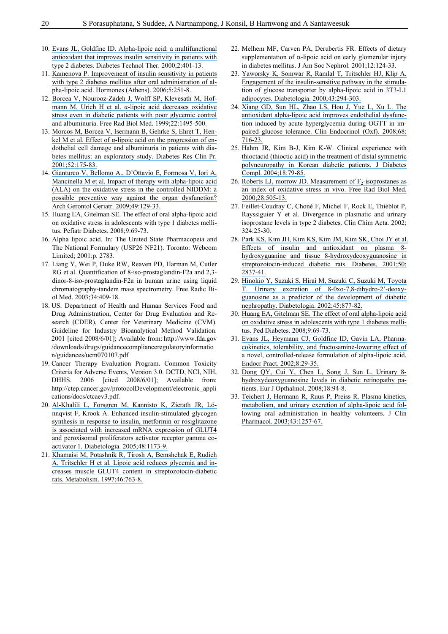- 10. [Evans JL, Goldfine ID. Alpha-lipoic acid: a multifunctional](https://www.researchgate.net/publication/11875679_a-Lipoic_Acid_A_Multifunctional_Antioxidant_That_Improves_Insulin_Sensitivity_in_Patients_with_Type_2_Diabetes?el=1_x_8&enrichId=rgreq-b9e146b9-b45c-45b7-9778-77e0fcb910e2&enrichSource=Y292ZXJQYWdlOzIyMTg3MDUyODtBUzoyMzg5NDA4NTA0ODcyOTdAMTQzMzk3OTM0Njc5OA==) [antioxidant that improves insulin sensitivity in patients with](https://www.researchgate.net/publication/11875679_a-Lipoic_Acid_A_Multifunctional_Antioxidant_That_Improves_Insulin_Sensitivity_in_Patients_with_Type_2_Diabetes?el=1_x_8&enrichId=rgreq-b9e146b9-b45c-45b7-9778-77e0fcb910e2&enrichSource=Y292ZXJQYWdlOzIyMTg3MDUyODtBUzoyMzg5NDA4NTA0ODcyOTdAMTQzMzk3OTM0Njc5OA==) [type 2 diabetes. Diabetes Technol Ther. 2000;2:401-13.](https://www.researchgate.net/publication/11875679_a-Lipoic_Acid_A_Multifunctional_Antioxidant_That_Improves_Insulin_Sensitivity_in_Patients_with_Type_2_Diabetes?el=1_x_8&enrichId=rgreq-b9e146b9-b45c-45b7-9778-77e0fcb910e2&enrichSource=Y292ZXJQYWdlOzIyMTg3MDUyODtBUzoyMzg5NDA4NTA0ODcyOTdAMTQzMzk3OTM0Njc5OA==)
- 11. [Kamenova P. Improvement of insulin sensitivity in patients](https://www.researchgate.net/publication/6620936_Improvement_of_insulin_sensitivity_in_patients_with_type_2_diabetes_mellitus_after_oral_administration_of_alpha-lipoic_acid?el=1_x_8&enrichId=rgreq-b9e146b9-b45c-45b7-9778-77e0fcb910e2&enrichSource=Y292ZXJQYWdlOzIyMTg3MDUyODtBUzoyMzg5NDA4NTA0ODcyOTdAMTQzMzk3OTM0Njc5OA==) [with type 2 diabetes mellitus after oral administration of al](https://www.researchgate.net/publication/6620936_Improvement_of_insulin_sensitivity_in_patients_with_type_2_diabetes_mellitus_after_oral_administration_of_alpha-lipoic_acid?el=1_x_8&enrichId=rgreq-b9e146b9-b45c-45b7-9778-77e0fcb910e2&enrichSource=Y292ZXJQYWdlOzIyMTg3MDUyODtBUzoyMzg5NDA4NTA0ODcyOTdAMTQzMzk3OTM0Njc5OA==)[pha-lipoic acid. Hormones \(Athens\). 2006;5:251-8.](https://www.researchgate.net/publication/6620936_Improvement_of_insulin_sensitivity_in_patients_with_type_2_diabetes_mellitus_after_oral_administration_of_alpha-lipoic_acid?el=1_x_8&enrichId=rgreq-b9e146b9-b45c-45b7-9778-77e0fcb910e2&enrichSource=Y292ZXJQYWdlOzIyMTg3MDUyODtBUzoyMzg5NDA4NTA0ODcyOTdAMTQzMzk3OTM0Njc5OA==)
- 12. [Borcea V, Nourooz-Zadeh J, Wolff SP, Klevesath M, Hof](https://www.researchgate.net/publication/12896941_a-Lipoic_acid_decreases_oxidative_stress_even_in_diabetic_patients_with_poor_glycemic_control_and_albuminuria?el=1_x_8&enrichId=rgreq-b9e146b9-b45c-45b7-9778-77e0fcb910e2&enrichSource=Y292ZXJQYWdlOzIyMTg3MDUyODtBUzoyMzg5NDA4NTA0ODcyOTdAMTQzMzk3OTM0Njc5OA==)mann M, Urich H et al. α[-lipoic acid decreases oxidative](https://www.researchgate.net/publication/12896941_a-Lipoic_acid_decreases_oxidative_stress_even_in_diabetic_patients_with_poor_glycemic_control_and_albuminuria?el=1_x_8&enrichId=rgreq-b9e146b9-b45c-45b7-9778-77e0fcb910e2&enrichSource=Y292ZXJQYWdlOzIyMTg3MDUyODtBUzoyMzg5NDA4NTA0ODcyOTdAMTQzMzk3OTM0Njc5OA==) [stress even in diabetic patients with poor glycemic control](https://www.researchgate.net/publication/12896941_a-Lipoic_acid_decreases_oxidative_stress_even_in_diabetic_patients_with_poor_glycemic_control_and_albuminuria?el=1_x_8&enrichId=rgreq-b9e146b9-b45c-45b7-9778-77e0fcb910e2&enrichSource=Y292ZXJQYWdlOzIyMTg3MDUyODtBUzoyMzg5NDA4NTA0ODcyOTdAMTQzMzk3OTM0Njc5OA==) [and albuminuria. Free Rad Biol Med. 1999;22:1495-500.](https://www.researchgate.net/publication/12896941_a-Lipoic_acid_decreases_oxidative_stress_even_in_diabetic_patients_with_poor_glycemic_control_and_albuminuria?el=1_x_8&enrichId=rgreq-b9e146b9-b45c-45b7-9778-77e0fcb910e2&enrichSource=Y292ZXJQYWdlOzIyMTg3MDUyODtBUzoyMzg5NDA4NTA0ODcyOTdAMTQzMzk3OTM0Njc5OA==)
- 13. [Morcos M, Borcea V, Isermann B, Gehrke S, Ehret T, Hen](https://www.researchgate.net/publication/251820213_Effect_of_a-lipoic_acid_on_the_progression_of_endothelial_cell_damage_and_albuminuria_in_patients_with_diabetes_mellitus_An_exploratory_study?el=1_x_8&enrichId=rgreq-b9e146b9-b45c-45b7-9778-77e0fcb910e2&enrichSource=Y292ZXJQYWdlOzIyMTg3MDUyODtBUzoyMzg5NDA4NTA0ODcyOTdAMTQzMzk3OTM0Njc5OA==)kel M et al. Effect of  $\alpha$ [-lipoic acid on the progression of en](https://www.researchgate.net/publication/251820213_Effect_of_a-lipoic_acid_on_the_progression_of_endothelial_cell_damage_and_albuminuria_in_patients_with_diabetes_mellitus_An_exploratory_study?el=1_x_8&enrichId=rgreq-b9e146b9-b45c-45b7-9778-77e0fcb910e2&enrichSource=Y292ZXJQYWdlOzIyMTg3MDUyODtBUzoyMzg5NDA4NTA0ODcyOTdAMTQzMzk3OTM0Njc5OA==)[dothelial cell damage and albuminuria in patients with dia](https://www.researchgate.net/publication/251820213_Effect_of_a-lipoic_acid_on_the_progression_of_endothelial_cell_damage_and_albuminuria_in_patients_with_diabetes_mellitus_An_exploratory_study?el=1_x_8&enrichId=rgreq-b9e146b9-b45c-45b7-9778-77e0fcb910e2&enrichSource=Y292ZXJQYWdlOzIyMTg3MDUyODtBUzoyMzg5NDA4NTA0ODcyOTdAMTQzMzk3OTM0Njc5OA==)[betes mellitus: an exploratory study. Diabetes Res Clin Pr.](https://www.researchgate.net/publication/251820213_Effect_of_a-lipoic_acid_on_the_progression_of_endothelial_cell_damage_and_albuminuria_in_patients_with_diabetes_mellitus_An_exploratory_study?el=1_x_8&enrichId=rgreq-b9e146b9-b45c-45b7-9778-77e0fcb910e2&enrichSource=Y292ZXJQYWdlOzIyMTg3MDUyODtBUzoyMzg5NDA4NTA0ODcyOTdAMTQzMzk3OTM0Njc5OA==) [2001;52:175-83.](https://www.researchgate.net/publication/251820213_Effect_of_a-lipoic_acid_on_the_progression_of_endothelial_cell_damage_and_albuminuria_in_patients_with_diabetes_mellitus_An_exploratory_study?el=1_x_8&enrichId=rgreq-b9e146b9-b45c-45b7-9778-77e0fcb910e2&enrichSource=Y292ZXJQYWdlOzIyMTg3MDUyODtBUzoyMzg5NDA4NTA0ODcyOTdAMTQzMzk3OTM0Njc5OA==)
- 14. [Gianturco V, Bellomo A., D'Ottavio E, Formosa V, Iori A,](https://www.researchgate.net/publication/38017820_Impact_of_therapy_with_alpha-lipoic_acid_ALA_on_the_oxidative_stress_in_the_controlled_NIDDM_a_possible_preventive_way_against_the_organ_dysfunction?el=1_x_8&enrichId=rgreq-b9e146b9-b45c-45b7-9778-77e0fcb910e2&enrichSource=Y292ZXJQYWdlOzIyMTg3MDUyODtBUzoyMzg5NDA4NTA0ODcyOTdAMTQzMzk3OTM0Njc5OA==) [Mancinella M et al. Impact of therapy with alpha-lipoic acid](https://www.researchgate.net/publication/38017820_Impact_of_therapy_with_alpha-lipoic_acid_ALA_on_the_oxidative_stress_in_the_controlled_NIDDM_a_possible_preventive_way_against_the_organ_dysfunction?el=1_x_8&enrichId=rgreq-b9e146b9-b45c-45b7-9778-77e0fcb910e2&enrichSource=Y292ZXJQYWdlOzIyMTg3MDUyODtBUzoyMzg5NDA4NTA0ODcyOTdAMTQzMzk3OTM0Njc5OA==) [\(ALA\) on the oxidative stress in the controlled NIDDM: a](https://www.researchgate.net/publication/38017820_Impact_of_therapy_with_alpha-lipoic_acid_ALA_on_the_oxidative_stress_in_the_controlled_NIDDM_a_possible_preventive_way_against_the_organ_dysfunction?el=1_x_8&enrichId=rgreq-b9e146b9-b45c-45b7-9778-77e0fcb910e2&enrichSource=Y292ZXJQYWdlOzIyMTg3MDUyODtBUzoyMzg5NDA4NTA0ODcyOTdAMTQzMzk3OTM0Njc5OA==) [possible preventive way against the organ dysfunction?](https://www.researchgate.net/publication/38017820_Impact_of_therapy_with_alpha-lipoic_acid_ALA_on_the_oxidative_stress_in_the_controlled_NIDDM_a_possible_preventive_way_against_the_organ_dysfunction?el=1_x_8&enrichId=rgreq-b9e146b9-b45c-45b7-9778-77e0fcb910e2&enrichSource=Y292ZXJQYWdlOzIyMTg3MDUyODtBUzoyMzg5NDA4NTA0ODcyOTdAMTQzMzk3OTM0Njc5OA==) [Arch Gerontol Geriatr. 2009;49:129-33.](https://www.researchgate.net/publication/38017820_Impact_of_therapy_with_alpha-lipoic_acid_ALA_on_the_oxidative_stress_in_the_controlled_NIDDM_a_possible_preventive_way_against_the_organ_dysfunction?el=1_x_8&enrichId=rgreq-b9e146b9-b45c-45b7-9778-77e0fcb910e2&enrichSource=Y292ZXJQYWdlOzIyMTg3MDUyODtBUzoyMzg5NDA4NTA0ODcyOTdAMTQzMzk3OTM0Njc5OA==)
- 15. Huang EA, Gitelman SE. The effect of oral alpha-lipoic acid on oxidative stress in adolescents with type 1 diabetes mellitus. Pefiatr Diabetes. 2008;9:69-73.
- 16. Alpha lipoic acid. In: The United State Pharmacopeia and The National Formulary (USP26 NF21). Toronto: Webcom Limited; 2001:p. 2783.
- 17. Liang Y, Wei P, Duke RW, Reaven PD, Harman M, Cutler RG et al. Quantification of 8-iso-prostaglandin-F2a and 2,3 dinor-8-iso-prostaglandin-F2a in human urine using liquid chromatography-tandem mass spectrometry. Free Radic Biol Med. 2003;34:409-18.
- 18. US. Department of Health and Human Services Food and Drug Administration, Center for Drug Evaluation and Research (CDER), Center for Veterinary Medicine (CVM). Guideline for Industry Bioanalytical Method Validation. 2001 [cited 2008/6/01]; Available from: http://www.fda.gov /downloads/drugs/guidancecomplianceregulatoryinformatio n/guidances/ucm070107.pdf
- 19. Cancer Therapy Evaluation Program. Common Toxicity Criteria for Adverse Events, Version 3.0. DCTD, NCI, NIH, DHHS. 2006 [cited 2008/6/01]; Available from: http://ctep.cancer.gov/protocolDevelopment/electronic\_appli cations/docs/ctcaev3.pdf.
- 20. [Al-Khalili L, Forsgren M, Kannisto K, Zierath JR, Lö](https://www.researchgate.net/publication/7872720_Enhanced_insulin-stimulated_glycogen_synthesis_in_response_to_insulin_metformin_or_rosiglitazone_is_associated_with_increased_mRNA_expression_of_GLUT4_and_peroxisomal_proliferator_activator_receptor_g?el=1_x_8&enrichId=rgreq-b9e146b9-b45c-45b7-9778-77e0fcb910e2&enrichSource=Y292ZXJQYWdlOzIyMTg3MDUyODtBUzoyMzg5NDA4NTA0ODcyOTdAMTQzMzk3OTM0Njc5OA==)[nnqvist F, Krook A. Enhanced insulin-stimulated glycogen](https://www.researchgate.net/publication/7872720_Enhanced_insulin-stimulated_glycogen_synthesis_in_response_to_insulin_metformin_or_rosiglitazone_is_associated_with_increased_mRNA_expression_of_GLUT4_and_peroxisomal_proliferator_activator_receptor_g?el=1_x_8&enrichId=rgreq-b9e146b9-b45c-45b7-9778-77e0fcb910e2&enrichSource=Y292ZXJQYWdlOzIyMTg3MDUyODtBUzoyMzg5NDA4NTA0ODcyOTdAMTQzMzk3OTM0Njc5OA==) [synthesis in response to insulin, metformin or rosiglitazone](https://www.researchgate.net/publication/7872720_Enhanced_insulin-stimulated_glycogen_synthesis_in_response_to_insulin_metformin_or_rosiglitazone_is_associated_with_increased_mRNA_expression_of_GLUT4_and_peroxisomal_proliferator_activator_receptor_g?el=1_x_8&enrichId=rgreq-b9e146b9-b45c-45b7-9778-77e0fcb910e2&enrichSource=Y292ZXJQYWdlOzIyMTg3MDUyODtBUzoyMzg5NDA4NTA0ODcyOTdAMTQzMzk3OTM0Njc5OA==) [is associated with increased mRNA expression of GLUT4](https://www.researchgate.net/publication/7872720_Enhanced_insulin-stimulated_glycogen_synthesis_in_response_to_insulin_metformin_or_rosiglitazone_is_associated_with_increased_mRNA_expression_of_GLUT4_and_peroxisomal_proliferator_activator_receptor_g?el=1_x_8&enrichId=rgreq-b9e146b9-b45c-45b7-9778-77e0fcb910e2&enrichSource=Y292ZXJQYWdlOzIyMTg3MDUyODtBUzoyMzg5NDA4NTA0ODcyOTdAMTQzMzk3OTM0Njc5OA==) [and peroxisomal proliferators activator receptor gamma co](https://www.researchgate.net/publication/7872720_Enhanced_insulin-stimulated_glycogen_synthesis_in_response_to_insulin_metformin_or_rosiglitazone_is_associated_with_increased_mRNA_expression_of_GLUT4_and_peroxisomal_proliferator_activator_receptor_g?el=1_x_8&enrichId=rgreq-b9e146b9-b45c-45b7-9778-77e0fcb910e2&enrichSource=Y292ZXJQYWdlOzIyMTg3MDUyODtBUzoyMzg5NDA4NTA0ODcyOTdAMTQzMzk3OTM0Njc5OA==)[activator 1. Diabetologia. 2005;48:1173-9.](https://www.researchgate.net/publication/7872720_Enhanced_insulin-stimulated_glycogen_synthesis_in_response_to_insulin_metformin_or_rosiglitazone_is_associated_with_increased_mRNA_expression_of_GLUT4_and_peroxisomal_proliferator_activator_receptor_g?el=1_x_8&enrichId=rgreq-b9e146b9-b45c-45b7-9778-77e0fcb910e2&enrichSource=Y292ZXJQYWdlOzIyMTg3MDUyODtBUzoyMzg5NDA4NTA0ODcyOTdAMTQzMzk3OTM0Njc5OA==)
- 21. [Khamaisi M, Potashnik R, Tirosh A, Bemshchak E, Rudich](https://www.researchgate.net/publication/223751726_Lipoic_acid_reduces_glycemia_and_increases_muscle_GLUT4_content_in_streptozotocin-diabetic_rats?el=1_x_8&enrichId=rgreq-b9e146b9-b45c-45b7-9778-77e0fcb910e2&enrichSource=Y292ZXJQYWdlOzIyMTg3MDUyODtBUzoyMzg5NDA4NTA0ODcyOTdAMTQzMzk3OTM0Njc5OA==) [A, Tritschler H et al. Lipoic acid reduces glycemia and in](https://www.researchgate.net/publication/223751726_Lipoic_acid_reduces_glycemia_and_increases_muscle_GLUT4_content_in_streptozotocin-diabetic_rats?el=1_x_8&enrichId=rgreq-b9e146b9-b45c-45b7-9778-77e0fcb910e2&enrichSource=Y292ZXJQYWdlOzIyMTg3MDUyODtBUzoyMzg5NDA4NTA0ODcyOTdAMTQzMzk3OTM0Njc5OA==)[creases muscle GLUT4 content in streptozotocin-diabetic](https://www.researchgate.net/publication/223751726_Lipoic_acid_reduces_glycemia_and_increases_muscle_GLUT4_content_in_streptozotocin-diabetic_rats?el=1_x_8&enrichId=rgreq-b9e146b9-b45c-45b7-9778-77e0fcb910e2&enrichSource=Y292ZXJQYWdlOzIyMTg3MDUyODtBUzoyMzg5NDA4NTA0ODcyOTdAMTQzMzk3OTM0Njc5OA==) [rats. Metabolism. 1997;46:763-8.](https://www.researchgate.net/publication/223751726_Lipoic_acid_reduces_glycemia_and_increases_muscle_GLUT4_content_in_streptozotocin-diabetic_rats?el=1_x_8&enrichId=rgreq-b9e146b9-b45c-45b7-9778-77e0fcb910e2&enrichSource=Y292ZXJQYWdlOzIyMTg3MDUyODtBUzoyMzg5NDA4NTA0ODcyOTdAMTQzMzk3OTM0Njc5OA==)
- 22. Melhem MF, Carven PA, Derubertis FR. Effects of dietary supplementation of  $\alpha$ -lipoic acid on early glomerular injury in diabetes mellitus. J Am Soc Nephrol. 2001;12:124-33.
- 23. [Yaworsky K, Somwar R, Ramlal T, Tritschler HJ, Klip A.](https://www.researchgate.net/publication/245792191_Engagement_of_the_insulin-sensitive_pathway_in_the_stimulation_of_glucose_transport_by_a_-lipoic_acid_in_3T3-L1_adipocytes?el=1_x_8&enrichId=rgreq-b9e146b9-b45c-45b7-9778-77e0fcb910e2&enrichSource=Y292ZXJQYWdlOzIyMTg3MDUyODtBUzoyMzg5NDA4NTA0ODcyOTdAMTQzMzk3OTM0Njc5OA==) [Engagement of the insulin-sensitive pathway in the stimula](https://www.researchgate.net/publication/245792191_Engagement_of_the_insulin-sensitive_pathway_in_the_stimulation_of_glucose_transport_by_a_-lipoic_acid_in_3T3-L1_adipocytes?el=1_x_8&enrichId=rgreq-b9e146b9-b45c-45b7-9778-77e0fcb910e2&enrichSource=Y292ZXJQYWdlOzIyMTg3MDUyODtBUzoyMzg5NDA4NTA0ODcyOTdAMTQzMzk3OTM0Njc5OA==)[tion of glucose transporter by alpha-lipoic acid in 3T3-L1](https://www.researchgate.net/publication/245792191_Engagement_of_the_insulin-sensitive_pathway_in_the_stimulation_of_glucose_transport_by_a_-lipoic_acid_in_3T3-L1_adipocytes?el=1_x_8&enrichId=rgreq-b9e146b9-b45c-45b7-9778-77e0fcb910e2&enrichSource=Y292ZXJQYWdlOzIyMTg3MDUyODtBUzoyMzg5NDA4NTA0ODcyOTdAMTQzMzk3OTM0Njc5OA==) [adipocytes. Diabetologia. 2000;43:294-303.](https://www.researchgate.net/publication/245792191_Engagement_of_the_insulin-sensitive_pathway_in_the_stimulation_of_glucose_transport_by_a_-lipoic_acid_in_3T3-L1_adipocytes?el=1_x_8&enrichId=rgreq-b9e146b9-b45c-45b7-9778-77e0fcb910e2&enrichSource=Y292ZXJQYWdlOzIyMTg3MDUyODtBUzoyMzg5NDA4NTA0ODcyOTdAMTQzMzk3OTM0Njc5OA==)
- 24. [Xiang GD, Sun HL, Zhao LS, Hou J, Yue L, Xu L. The](https://www.researchgate.net/publication/5778511_The_antioxidant_alpha-lipoic_acid_improves_endothelial_dysfunction_induced_by_acute_hyperglycemia_during_OGTT_in_impaired_glucose_tolerance?el=1_x_8&enrichId=rgreq-b9e146b9-b45c-45b7-9778-77e0fcb910e2&enrichSource=Y292ZXJQYWdlOzIyMTg3MDUyODtBUzoyMzg5NDA4NTA0ODcyOTdAMTQzMzk3OTM0Njc5OA==) [antioxidant alpha-lipoic acid improves endothelial dysfunc](https://www.researchgate.net/publication/5778511_The_antioxidant_alpha-lipoic_acid_improves_endothelial_dysfunction_induced_by_acute_hyperglycemia_during_OGTT_in_impaired_glucose_tolerance?el=1_x_8&enrichId=rgreq-b9e146b9-b45c-45b7-9778-77e0fcb910e2&enrichSource=Y292ZXJQYWdlOzIyMTg3MDUyODtBUzoyMzg5NDA4NTA0ODcyOTdAMTQzMzk3OTM0Njc5OA==)[tion induced by acute hyperglycemia during OGTT in im](https://www.researchgate.net/publication/5778511_The_antioxidant_alpha-lipoic_acid_improves_endothelial_dysfunction_induced_by_acute_hyperglycemia_during_OGTT_in_impaired_glucose_tolerance?el=1_x_8&enrichId=rgreq-b9e146b9-b45c-45b7-9778-77e0fcb910e2&enrichSource=Y292ZXJQYWdlOzIyMTg3MDUyODtBUzoyMzg5NDA4NTA0ODcyOTdAMTQzMzk3OTM0Njc5OA==)[paired glucose tolerance. Clin Endocrinol \(Oxf\). 2008;68:](https://www.researchgate.net/publication/5778511_The_antioxidant_alpha-lipoic_acid_improves_endothelial_dysfunction_induced_by_acute_hyperglycemia_during_OGTT_in_impaired_glucose_tolerance?el=1_x_8&enrichId=rgreq-b9e146b9-b45c-45b7-9778-77e0fcb910e2&enrichSource=Y292ZXJQYWdlOzIyMTg3MDUyODtBUzoyMzg5NDA4NTA0ODcyOTdAMTQzMzk3OTM0Njc5OA==) [716-23.](https://www.researchgate.net/publication/5778511_The_antioxidant_alpha-lipoic_acid_improves_endothelial_dysfunction_induced_by_acute_hyperglycemia_during_OGTT_in_impaired_glucose_tolerance?el=1_x_8&enrichId=rgreq-b9e146b9-b45c-45b7-9778-77e0fcb910e2&enrichSource=Y292ZXJQYWdlOzIyMTg3MDUyODtBUzoyMzg5NDA4NTA0ODcyOTdAMTQzMzk3OTM0Njc5OA==)
- 25. [Hahm JR, Kim B-J, Kim K-W. Clinical experience with](https://www.researchgate.net/publication/8584126_Clinical_experience_with_thioctacid_thioctic_acid_in_the_treatment_of_distal_symmetric_polyneuropathy_in_Korean_diabetic_patients?el=1_x_8&enrichId=rgreq-b9e146b9-b45c-45b7-9778-77e0fcb910e2&enrichSource=Y292ZXJQYWdlOzIyMTg3MDUyODtBUzoyMzg5NDA4NTA0ODcyOTdAMTQzMzk3OTM0Njc5OA==)  [thioctacid \(thioctic acid\) in the treatment of distal symmetric](https://www.researchgate.net/publication/8584126_Clinical_experience_with_thioctacid_thioctic_acid_in_the_treatment_of_distal_symmetric_polyneuropathy_in_Korean_diabetic_patients?el=1_x_8&enrichId=rgreq-b9e146b9-b45c-45b7-9778-77e0fcb910e2&enrichSource=Y292ZXJQYWdlOzIyMTg3MDUyODtBUzoyMzg5NDA4NTA0ODcyOTdAMTQzMzk3OTM0Njc5OA==)  [polyneuropathy in Korean diabetic patients. J Diabetes](https://www.researchgate.net/publication/8584126_Clinical_experience_with_thioctacid_thioctic_acid_in_the_treatment_of_distal_symmetric_polyneuropathy_in_Korean_diabetic_patients?el=1_x_8&enrichId=rgreq-b9e146b9-b45c-45b7-9778-77e0fcb910e2&enrichSource=Y292ZXJQYWdlOzIyMTg3MDUyODtBUzoyMzg5NDA4NTA0ODcyOTdAMTQzMzk3OTM0Njc5OA==)  Compl. [2004;18:79-85.](https://www.researchgate.net/publication/8584126_Clinical_experience_with_thioctacid_thioctic_acid_in_the_treatment_of_distal_symmetric_polyneuropathy_in_Korean_diabetic_patients?el=1_x_8&enrichId=rgreq-b9e146b9-b45c-45b7-9778-77e0fcb910e2&enrichSource=Y292ZXJQYWdlOzIyMTg3MDUyODtBUzoyMzg5NDA4NTA0ODcyOTdAMTQzMzk3OTM0Njc5OA==)
- 26. Roberts LJ, morrow JD. Measurement of  $F_2$ -isoprostanes as [an index of oxidative stress in vivo. Free Rad Biol Med.](https://www.researchgate.net/publication/290131398_Measurement_of_F2-isoprostanes_as_an_index_of_oxidative_stress_in_vivo?el=1_x_8&enrichId=rgreq-b9e146b9-b45c-45b7-9778-77e0fcb910e2&enrichSource=Y292ZXJQYWdlOzIyMTg3MDUyODtBUzoyMzg5NDA4NTA0ODcyOTdAMTQzMzk3OTM0Njc5OA==)  [2000;28:505-13.](https://www.researchgate.net/publication/290131398_Measurement_of_F2-isoprostanes_as_an_index_of_oxidative_stress_in_vivo?el=1_x_8&enrichId=rgreq-b9e146b9-b45c-45b7-9778-77e0fcb910e2&enrichSource=Y292ZXJQYWdlOzIyMTg3MDUyODtBUzoyMzg5NDA4NTA0ODcyOTdAMTQzMzk3OTM0Njc5OA==)
- 27. Feillet-Coudray C, Choné F, Michel F, Rock E, Thiéblot P, Rayssiguier Y et al. Divergence in plasmatic and urinary isoprostane levels in type 2 diabetes. Clin Chim Acta. 2002;  $324.25 - 30$
- 28. [Park KS, Kim JH, Kim KS, Kim JM, Kim SK, Choi JY et al.](https://www.researchgate.net/publication/11632804_Effects_of_Insulin_and_Antioxidant_on_Plasma_8-Hydroxyguanine_and_Tissue_8-Hydroxydeoxyguanosine_in_Streptozotocin-Induced_Diabetic_Rats?el=1_x_8&enrichId=rgreq-b9e146b9-b45c-45b7-9778-77e0fcb910e2&enrichSource=Y292ZXJQYWdlOzIyMTg3MDUyODtBUzoyMzg5NDA4NTA0ODcyOTdAMTQzMzk3OTM0Njc5OA==)  [Effects of insulin and antioxidant on plasma 8](https://www.researchgate.net/publication/11632804_Effects_of_Insulin_and_Antioxidant_on_Plasma_8-Hydroxyguanine_and_Tissue_8-Hydroxydeoxyguanosine_in_Streptozotocin-Induced_Diabetic_Rats?el=1_x_8&enrichId=rgreq-b9e146b9-b45c-45b7-9778-77e0fcb910e2&enrichSource=Y292ZXJQYWdlOzIyMTg3MDUyODtBUzoyMzg5NDA4NTA0ODcyOTdAMTQzMzk3OTM0Njc5OA==) [hydroxyguanine and tissue 8-hydroxydeoxyguanosine in](https://www.researchgate.net/publication/11632804_Effects_of_Insulin_and_Antioxidant_on_Plasma_8-Hydroxyguanine_and_Tissue_8-Hydroxydeoxyguanosine_in_Streptozotocin-Induced_Diabetic_Rats?el=1_x_8&enrichId=rgreq-b9e146b9-b45c-45b7-9778-77e0fcb910e2&enrichSource=Y292ZXJQYWdlOzIyMTg3MDUyODtBUzoyMzg5NDA4NTA0ODcyOTdAMTQzMzk3OTM0Njc5OA==)  [streptozotocin-induced diabetic rats. Diabetes. 2001;50:](https://www.researchgate.net/publication/11632804_Effects_of_Insulin_and_Antioxidant_on_Plasma_8-Hydroxyguanine_and_Tissue_8-Hydroxydeoxyguanosine_in_Streptozotocin-Induced_Diabetic_Rats?el=1_x_8&enrichId=rgreq-b9e146b9-b45c-45b7-9778-77e0fcb910e2&enrichSource=Y292ZXJQYWdlOzIyMTg3MDUyODtBUzoyMzg5NDA4NTA0ODcyOTdAMTQzMzk3OTM0Njc5OA==) [2837-41.](https://www.researchgate.net/publication/11632804_Effects_of_Insulin_and_Antioxidant_on_Plasma_8-Hydroxyguanine_and_Tissue_8-Hydroxydeoxyguanosine_in_Streptozotocin-Induced_Diabetic_Rats?el=1_x_8&enrichId=rgreq-b9e146b9-b45c-45b7-9778-77e0fcb910e2&enrichSource=Y292ZXJQYWdlOzIyMTg3MDUyODtBUzoyMzg5NDA4NTA0ODcyOTdAMTQzMzk3OTM0Njc5OA==)
- 29. [Hinokio Y, Suzuki S, Hirai M, Suzuki C, Suzuki M, Toyota](https://www.researchgate.net/publication/11270235_Urinary_excretion_of_8-oxo-7_8-dihydro-2) [T. Urinary excretion of 8-0xo-7,8-dihydro-2'-deoxy](https://www.researchgate.net/publication/11270235_Urinary_excretion_of_8-oxo-7_8-dihydro-2)[guanosine as a predictor of the development of diabetic](https://www.researchgate.net/publication/11270235_Urinary_excretion_of_8-oxo-7_8-dihydro-2) [nephropathy. Diabetologia. 2002;45:877-82.](https://www.researchgate.net/publication/11270235_Urinary_excretion_of_8-oxo-7_8-dihydro-2)
- 30. [Huang EA, Gitelman SE. The effect of oral alpha-lipoic acid](https://www.researchgate.net/publication/5631250_The_effect_of_oral_alpha-lipoic_acid_on_oxidative_stress_in_adolescents_with_type_1_diabetes_mellitus?el=1_x_8&enrichId=rgreq-b9e146b9-b45c-45b7-9778-77e0fcb910e2&enrichSource=Y292ZXJQYWdlOzIyMTg3MDUyODtBUzoyMzg5NDA4NTA0ODcyOTdAMTQzMzk3OTM0Njc5OA==)  [on oxidative stress in adolescents with type 1 diabetes melli](https://www.researchgate.net/publication/5631250_The_effect_of_oral_alpha-lipoic_acid_on_oxidative_stress_in_adolescents_with_type_1_diabetes_mellitus?el=1_x_8&enrichId=rgreq-b9e146b9-b45c-45b7-9778-77e0fcb910e2&enrichSource=Y292ZXJQYWdlOzIyMTg3MDUyODtBUzoyMzg5NDA4NTA0ODcyOTdAMTQzMzk3OTM0Njc5OA==)[tus. Ped Diabetes. 2008;9:69-73.](https://www.researchgate.net/publication/5631250_The_effect_of_oral_alpha-lipoic_acid_on_oxidative_stress_in_adolescents_with_type_1_diabetes_mellitus?el=1_x_8&enrichId=rgreq-b9e146b9-b45c-45b7-9778-77e0fcb910e2&enrichSource=Y292ZXJQYWdlOzIyMTg3MDUyODtBUzoyMzg5NDA4NTA0ODcyOTdAMTQzMzk3OTM0Njc5OA==)
- 31. [Evans JL, Heymann CJ, Goldfine ID, Gavin LA, Pharma](https://www.researchgate.net/publication/11414824_Pharmacokinetics_tolerability_and_fructosamine-lowering_effect_of_a_novel_controlled-release_formulation_of_a-lipoic_acid?el=1_x_8&enrichId=rgreq-b9e146b9-b45c-45b7-9778-77e0fcb910e2&enrichSource=Y292ZXJQYWdlOzIyMTg3MDUyODtBUzoyMzg5NDA4NTA0ODcyOTdAMTQzMzk3OTM0Njc5OA==)[cokinetics, tolerability, and fructosamine-lowering effect of](https://www.researchgate.net/publication/11414824_Pharmacokinetics_tolerability_and_fructosamine-lowering_effect_of_a_novel_controlled-release_formulation_of_a-lipoic_acid?el=1_x_8&enrichId=rgreq-b9e146b9-b45c-45b7-9778-77e0fcb910e2&enrichSource=Y292ZXJQYWdlOzIyMTg3MDUyODtBUzoyMzg5NDA4NTA0ODcyOTdAMTQzMzk3OTM0Njc5OA==) [a novel, controlled-release formulation of alpha-lipoic acid.](https://www.researchgate.net/publication/11414824_Pharmacokinetics_tolerability_and_fructosamine-lowering_effect_of_a_novel_controlled-release_formulation_of_a-lipoic_acid?el=1_x_8&enrichId=rgreq-b9e146b9-b45c-45b7-9778-77e0fcb910e2&enrichSource=Y292ZXJQYWdlOzIyMTg3MDUyODtBUzoyMzg5NDA4NTA0ODcyOTdAMTQzMzk3OTM0Njc5OA==) [Endocr Pract. 2002;8:29-35.](https://www.researchgate.net/publication/11414824_Pharmacokinetics_tolerability_and_fructosamine-lowering_effect_of_a_novel_controlled-release_formulation_of_a-lipoic_acid?el=1_x_8&enrichId=rgreq-b9e146b9-b45c-45b7-9778-77e0fcb910e2&enrichSource=Y292ZXJQYWdlOzIyMTg3MDUyODtBUzoyMzg5NDA4NTA0ODcyOTdAMTQzMzk3OTM0Njc5OA==)
- 32. [Dong QY, Cui Y, Chen L, Song J, Sun L. Urinary 8](https://www.researchgate.net/publication/5648647_Urinary_8-hydroxydeoxyguanosine_levels_in_diabetic_retinopathy_patients?el=1_x_8&enrichId=rgreq-b9e146b9-b45c-45b7-9778-77e0fcb910e2&enrichSource=Y292ZXJQYWdlOzIyMTg3MDUyODtBUzoyMzg5NDA4NTA0ODcyOTdAMTQzMzk3OTM0Njc5OA==) [hydroxydeoxyguanosine levels in diabetic retinopathy pa](https://www.researchgate.net/publication/5648647_Urinary_8-hydroxydeoxyguanosine_levels_in_diabetic_retinopathy_patients?el=1_x_8&enrichId=rgreq-b9e146b9-b45c-45b7-9778-77e0fcb910e2&enrichSource=Y292ZXJQYWdlOzIyMTg3MDUyODtBUzoyMzg5NDA4NTA0ODcyOTdAMTQzMzk3OTM0Njc5OA==)[tients. Eur J Opthalmol. 2008;18:94-8.](https://www.researchgate.net/publication/5648647_Urinary_8-hydroxydeoxyguanosine_levels_in_diabetic_retinopathy_patients?el=1_x_8&enrichId=rgreq-b9e146b9-b45c-45b7-9778-77e0fcb910e2&enrichSource=Y292ZXJQYWdlOzIyMTg3MDUyODtBUzoyMzg5NDA4NTA0ODcyOTdAMTQzMzk3OTM0Njc5OA==)
- 33. [Teichert J, Hermann R, Ruus P, Preiss R. Plasma kinetics,](https://www.researchgate.net/publication/234026097_Plasma_Kinetics_Metabolism_and_Urinary_Excretion_of_Alpha-Lipoic_Acid_following_Oral_Administration_in_Healthy_Volunteers?el=1_x_8&enrichId=rgreq-b9e146b9-b45c-45b7-9778-77e0fcb910e2&enrichSource=Y292ZXJQYWdlOzIyMTg3MDUyODtBUzoyMzg5NDA4NTA0ODcyOTdAMTQzMzk3OTM0Njc5OA==) [metabolism, and urinary excretion of alpha-lipoic acid fol](https://www.researchgate.net/publication/234026097_Plasma_Kinetics_Metabolism_and_Urinary_Excretion_of_Alpha-Lipoic_Acid_following_Oral_Administration_in_Healthy_Volunteers?el=1_x_8&enrichId=rgreq-b9e146b9-b45c-45b7-9778-77e0fcb910e2&enrichSource=Y292ZXJQYWdlOzIyMTg3MDUyODtBUzoyMzg5NDA4NTA0ODcyOTdAMTQzMzk3OTM0Njc5OA==)[lowing oral administration in healthy volunteers. J Clin](https://www.researchgate.net/publication/234026097_Plasma_Kinetics_Metabolism_and_Urinary_Excretion_of_Alpha-Lipoic_Acid_following_Oral_Administration_in_Healthy_Volunteers?el=1_x_8&enrichId=rgreq-b9e146b9-b45c-45b7-9778-77e0fcb910e2&enrichSource=Y292ZXJQYWdlOzIyMTg3MDUyODtBUzoyMzg5NDA4NTA0ODcyOTdAMTQzMzk3OTM0Njc5OA==) [Pharmacol. 2003;43:1257-67.](https://www.researchgate.net/publication/234026097_Plasma_Kinetics_Metabolism_and_Urinary_Excretion_of_Alpha-Lipoic_Acid_following_Oral_Administration_in_Healthy_Volunteers?el=1_x_8&enrichId=rgreq-b9e146b9-b45c-45b7-9778-77e0fcb910e2&enrichSource=Y292ZXJQYWdlOzIyMTg3MDUyODtBUzoyMzg5NDA4NTA0ODcyOTdAMTQzMzk3OTM0Njc5OA==)